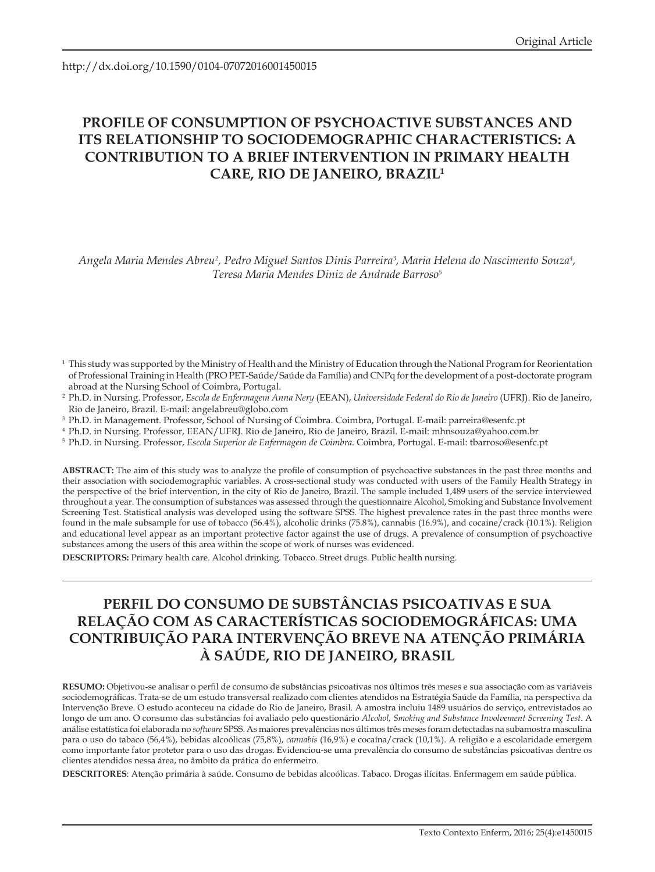http://dx.doi.org/10.1590/0104-07072016001450015

# **PROFILE OF CONSUMPTION OF PSYCHOACTIVE SUBSTANCES AND ITS RELATIONSHIP TO SOCIODEMOGRAPHIC CHARACTERISTICS: A CONTRIBUTION TO A BRIEF INTERVENTION IN PRIMARY HEALTH CARE, RIO DE JANEIRO, BRAZIL1**

*Angela Maria Mendes Abreu2 , Pedro Miguel Santos Dinis Parreira3 , Maria Helena do Nascimento Souza4 , Teresa Maria Mendes Diniz de Andrade Barroso5*

- <sup>1</sup> This study was supported by the Ministry of Health and the Ministry of Education through the National Program for Reorientation of Professional Training in Health (PRO PET-Saúde/Saúde da Família) and CNPq for the development of a post-doctorate program abroad at the Nursing School of Coimbra, Portugal.
- 2 Ph.D. in Nursing. Professor, *Escola de Enfermagem Anna Nery* (EEAN), *Universidade Federal do Rio de Janeiro* (UFRJ). Rio de Janeiro, Rio de Janeiro, Brazil. E-mail: angelabreu@globo.com
- <sup>3</sup> Ph.D. in Management. Professor, School of Nursing of Coimbra. Coimbra, Portugal. E-mail: parreira@esenfc.pt
- <sup>4</sup> Ph.D. in Nursing. Professor, EEAN/UFRJ. Rio de Janeiro, Rio de Janeiro, Brazil. E-mail: mhnsouza@yahoo.com.br
- <sup>5</sup> Ph.D. in Nursing. Professor, *Escola Superior de Enfermagem de Coimbra*. Coimbra, Portugal. E-mail: tbarroso@esenfc.pt

**ABSTRACT:** The aim of this study was to analyze the profile of consumption of psychoactive substances in the past three months and their association with sociodemographic variables. A cross-sectional study was conducted with users of the Family Health Strategy in the perspective of the brief intervention, in the city of Rio de Janeiro, Brazil. The sample included 1,489 users of the service interviewed throughout a year. The consumption of substances was assessed through the questionnaire Alcohol, Smoking and Substance Involvement Screening Test. Statistical analysis was developed using the software SPSS. The highest prevalence rates in the past three months were found in the male subsample for use of tobacco (56.4%), alcoholic drinks (75.8%), cannabis (16.9%), and cocaine/crack (10.1%). Religion and educational level appear as an important protective factor against the use of drugs. A prevalence of consumption of psychoactive substances among the users of this area within the scope of work of nurses was evidenced.

**DESCRIPTORS:** Primary health care. Alcohol drinking. Tobacco. Street drugs. Public health nursing.

# **PERFIL DO CONSUMO DE SUBSTÂNCIAS PSICOATIVAS E SUA RELAÇÃO COM AS CARACTERÍSTICAS SOCIODEMOGRÁFICAS: UMA CONTRIBUIÇÃO PARA INTERVENÇÃO BREVE NA ATENÇÃO PRIMÁRIA À SAÚDE, RIO DE JANEIRO, BRASIL**

**RESUMO:** Objetivou-se analisar o perfil de consumo de substâncias psicoativas nos últimos três meses e sua associação com as variáveis sociodemográficas. Trata-se de um estudo transversal realizado com clientes atendidos na Estratégia Saúde da Família, na perspectiva da Intervenção Breve. O estudo aconteceu na cidade do Rio de Janeiro, Brasil. A amostra incluiu 1489 usuários do serviço, entrevistados ao longo de um ano. O consumo das substâncias foi avaliado pelo questionário *Alcohol, Smoking and Substance Involvement Screening Test*. A análise estatística foi elaborada no *software* SPSS. As maiores prevalências nos últimos três meses foram detectadas na subamostra masculina para o uso do tabaco (56,4%), bebidas alcoólicas (75,8%), *cannabis* (16,9%) e cocaína/crack (10,1%). A religião e a escolaridade emergem como importante fator protetor para o uso das drogas. Evidenciou-se uma prevalência do consumo de substâncias psicoativas dentre os clientes atendidos nessa área, no âmbito da prática do enfermeiro.

**DESCRITORES**: Atenção primária à saúde. Consumo de bebidas alcoólicas. Tabaco. Drogas ilícitas. Enfermagem em saúde pública.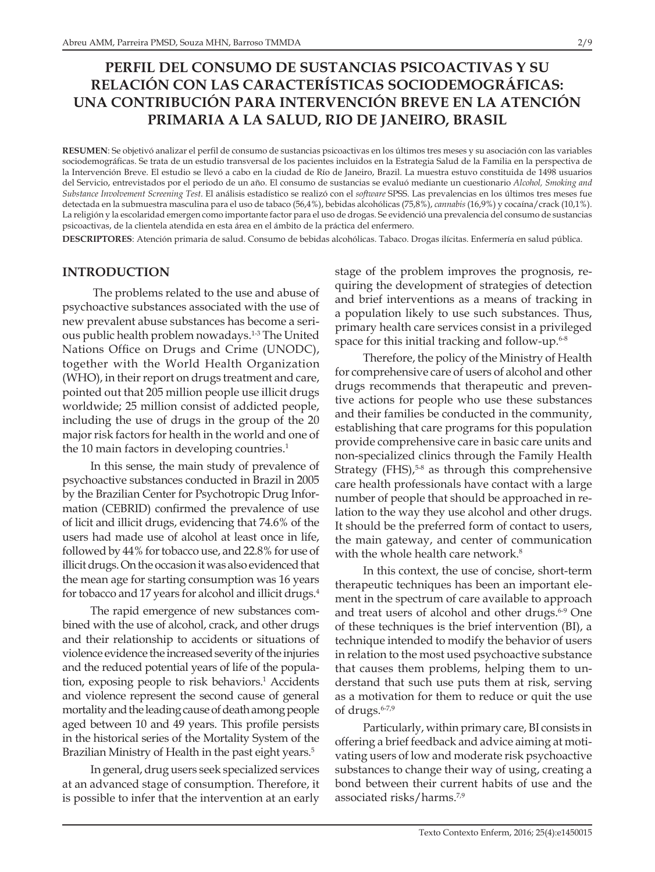# **PERFIL DEL CONSUMO DE SUSTANCIAS PSICOACTIVAS Y SU RELACIÓN CON LAS CARACTERÍSTICAS SOCIODEMOGRÁFICAS: UNA CONTRIBUCIÓN PARA INTERVENCIÓN BREVE EN LA ATENCIÓN PRIMARIA A LA SALUD, RIO DE JANEIRO, BRASIL**

**RESUMEN**: Se objetivó analizar el perfil de consumo de sustancias psicoactivas en los últimos tres meses y su asociación con las variables sociodemográficas. Se trata de un estudio transversal de los pacientes incluidos en la Estrategia Salud de la Familia en la perspectiva de la Intervención Breve. El estudio se llevó a cabo en la ciudad de Río de Janeiro, Brazil. La muestra estuvo constituida de 1498 usuarios del Servicio, entrevistados por el periodo de un año. El consumo de sustancias se evaluó mediante un cuestionario *Alcohol, Smoking and Substance Involvement Screening Test*. El análisis estadístico se realizó con el *software* SPSS. Las prevalencias en los últimos tres meses fue detectada en la submuestra masculina para el uso de tabaco (56,4%), bebidas alcohólicas (75,8%), *cannabis* (16,9%) y cocaína/crack (10,1%). La religión y la escolaridad emergen como importante factor para el uso de drogas. Se evidenció una prevalencia del consumo de sustancias psicoactivas, de la clientela atendida en esta área en el ámbito de la práctica del enfermero.

**DESCRIPTORES**: Atención primaria de salud. Consumo de bebidas alcohólicas. Tabaco. Drogas ilícitas. Enfermería en salud pública.

## **INTRODUCTION**

 The problems related to the use and abuse of psychoactive substances associated with the use of new prevalent abuse substances has become a serious public health problem nowadays.1-3 The United Nations Office on Drugs and Crime (UNODC), together with the World Health Organization (WHO), in their report on drugs treatment and care, pointed out that 205 million people use illicit drugs worldwide; 25 million consist of addicted people, including the use of drugs in the group of the 20 major risk factors for health in the world and one of the 10 main factors in developing countries.<sup>1</sup>

In this sense, the main study of prevalence of psychoactive substances conducted in Brazil in 2005 by the Brazilian Center for Psychotropic Drug Information (CEBRID) confirmed the prevalence of use of licit and illicit drugs, evidencing that 74.6% of the users had made use of alcohol at least once in life, followed by 44% for tobacco use, and 22.8% for use of illicit drugs. On the occasion it was also evidenced that the mean age for starting consumption was 16 years for tobacco and 17 years for alcohol and illicit drugs.<sup>4</sup>

The rapid emergence of new substances combined with the use of alcohol, crack, and other drugs and their relationship to accidents or situations of violence evidence the increased severity of the injuries and the reduced potential years of life of the population, exposing people to risk behaviors.<sup>1</sup> Accidents and violence represent the second cause of general mortality and the leading cause of death among people aged between 10 and 49 years. This profile persists in the historical series of the Mortality System of the Brazilian Ministry of Health in the past eight years.<sup>5</sup>

In general, drug users seek specialized services at an advanced stage of consumption. Therefore, it is possible to infer that the intervention at an early stage of the problem improves the prognosis, requiring the development of strategies of detection and brief interventions as a means of tracking in a population likely to use such substances. Thus, primary health care services consist in a privileged space for this initial tracking and follow-up. $6-8$ 

Therefore, the policy of the Ministry of Health for comprehensive care of users of alcohol and other drugs recommends that therapeutic and preventive actions for people who use these substances and their families be conducted in the community, establishing that care programs for this population provide comprehensive care in basic care units and non-specialized clinics through the Family Health Strategy (FHS), $5-8$  as through this comprehensive care health professionals have contact with a large number of people that should be approached in relation to the way they use alcohol and other drugs. It should be the preferred form of contact to users, the main gateway, and center of communication with the whole health care network.<sup>8</sup>

In this context, the use of concise, short-term therapeutic techniques has been an important element in the spectrum of care available to approach and treat users of alcohol and other drugs.<sup>6-9</sup> One of these techniques is the brief intervention (BI), a technique intended to modify the behavior of users in relation to the most used psychoactive substance that causes them problems, helping them to understand that such use puts them at risk, serving as a motivation for them to reduce or quit the use of drugs.<sup>6-7,9</sup>

Particularly, within primary care, BI consists in offering a brief feedback and advice aiming at motivating users of low and moderate risk psychoactive substances to change their way of using, creating a bond between their current habits of use and the associated risks/harms.7,9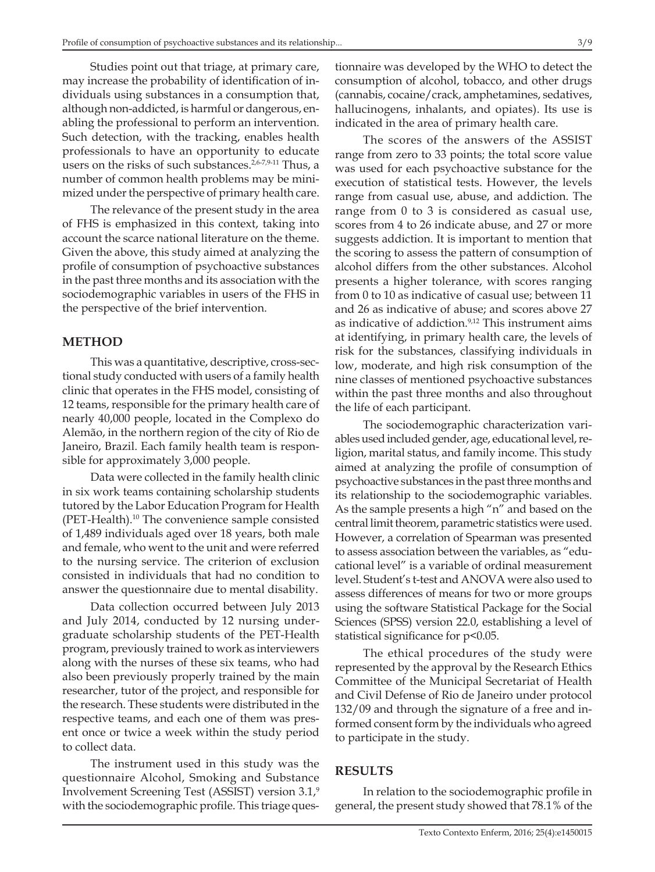Studies point out that triage, at primary care, may increase the probability of identification of individuals using substances in a consumption that, although non-addicted, is harmful or dangerous, enabling the professional to perform an intervention. Such detection, with the tracking, enables health professionals to have an opportunity to educate users on the risks of such substances.<sup>2,6-7,9-11</sup> Thus, a number of common health problems may be minimized under the perspective of primary health care.

The relevance of the present study in the area of FHS is emphasized in this context, taking into account the scarce national literature on the theme. Given the above, this study aimed at analyzing the profile of consumption of psychoactive substances in the past three months and its association with the sociodemographic variables in users of the FHS in the perspective of the brief intervention.

#### **METHOD**

This was a quantitative, descriptive, cross-sectional study conducted with users of a family health clinic that operates in the FHS model, consisting of 12 teams, responsible for the primary health care of nearly 40,000 people, located in the Complexo do Alemão, in the northern region of the city of Rio de Janeiro, Brazil. Each family health team is responsible for approximately 3,000 people.

Data were collected in the family health clinic in six work teams containing scholarship students tutored by the Labor Education Program for Health (PET-Health).10 The convenience sample consisted of 1,489 individuals aged over 18 years, both male and female, who went to the unit and were referred to the nursing service. The criterion of exclusion consisted in individuals that had no condition to answer the questionnaire due to mental disability.

Data collection occurred between July 2013 and July 2014, conducted by 12 nursing undergraduate scholarship students of the PET-Health program, previously trained to work as interviewers along with the nurses of these six teams, who had also been previously properly trained by the main researcher, tutor of the project, and responsible for the research. These students were distributed in the respective teams, and each one of them was present once or twice a week within the study period to collect data.

The instrument used in this study was the questionnaire Alcohol, Smoking and Substance Involvement Screening Test (ASSIST) version 3.1,9 with the sociodemographic profile. This triage ques-

tionnaire was developed by the WHO to detect the consumption of alcohol, tobacco, and other drugs (cannabis, cocaine/crack, amphetamines, sedatives, hallucinogens, inhalants, and opiates). Its use is indicated in the area of primary health care.

The scores of the answers of the ASSIST range from zero to 33 points; the total score value was used for each psychoactive substance for the execution of statistical tests. However, the levels range from casual use, abuse, and addiction. The range from 0 to 3 is considered as casual use, scores from 4 to 26 indicate abuse, and 27 or more suggests addiction. It is important to mention that the scoring to assess the pattern of consumption of alcohol differs from the other substances. Alcohol presents a higher tolerance, with scores ranging from 0 to 10 as indicative of casual use; between 11 and 26 as indicative of abuse; and scores above 27 as indicative of addiction.9,12 This instrument aims at identifying, in primary health care, the levels of risk for the substances, classifying individuals in low, moderate, and high risk consumption of the nine classes of mentioned psychoactive substances within the past three months and also throughout the life of each participant.

The sociodemographic characterization variables used included gender, age, educational level, religion, marital status, and family income. This study aimed at analyzing the profile of consumption of psychoactive substances in the past three months and its relationship to the sociodemographic variables. As the sample presents a high "n" and based on the central limit theorem, parametric statistics were used. However, a correlation of Spearman was presented to assess association between the variables, as "educational level" is a variable of ordinal measurement level. Student's t-test and ANOVA were also used to assess differences of means for two or more groups using the software Statistical Package for the Social Sciences (SPSS) version 22.0, establishing a level of statistical significance for p<0.05.

The ethical procedures of the study were represented by the approval by the Research Ethics Committee of the Municipal Secretariat of Health and Civil Defense of Rio de Janeiro under protocol 132/09 and through the signature of a free and informed consent form by the individuals who agreed to participate in the study.

### **RESULTS**

In relation to the sociodemographic profile in general, the present study showed that 78.1% of the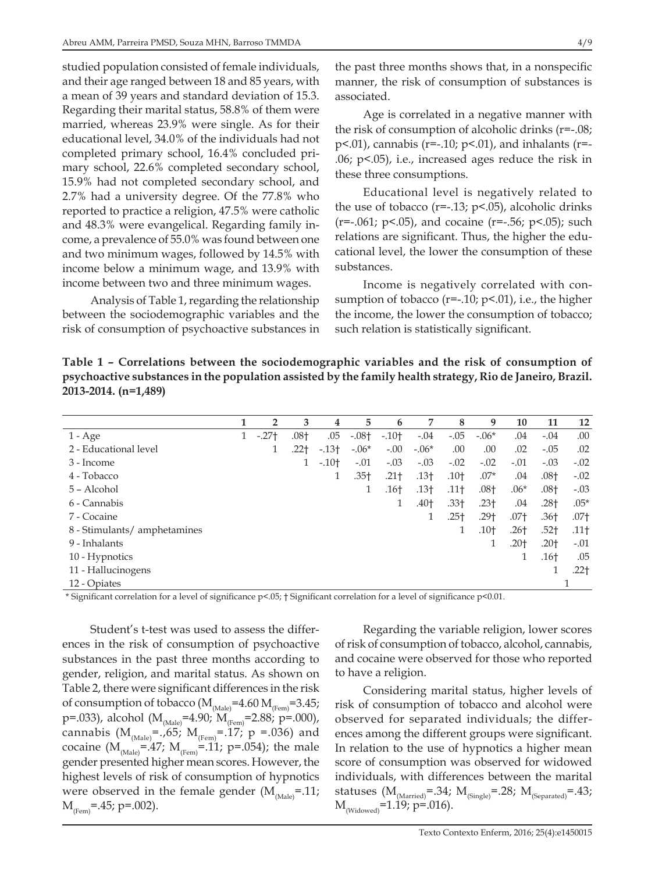studied population consisted of female individuals, and their age ranged between 18 and 85 years, with a mean of 39 years and standard deviation of 15.3. Regarding their marital status, 58.8% of them were married, whereas 23.9% were single. As for their educational level, 34.0% of the individuals had not completed primary school, 16.4% concluded primary school, 22.6% completed secondary school, 15.9% had not completed secondary school, and 2.7% had a university degree. Of the 77.8% who reported to practice a religion, 47.5% were catholic and 48.3% were evangelical. Regarding family income, a prevalence of 55.0% was found between one and two minimum wages, followed by 14.5% with income below a minimum wage, and 13.9% with income between two and three minimum wages.

Analysis of Table 1, regarding the relationship between the sociodemographic variables and the risk of consumption of psychoactive substances in the past three months shows that, in a nonspecific manner, the risk of consumption of substances is associated.

Age is correlated in a negative manner with the risk of consumption of alcoholic drinks (r=-.08; p<.01), cannabis (r=-.10; p<.01), and inhalants (r=- .06; p<.05), i.e., increased ages reduce the risk in these three consumptions.

Educational level is negatively related to the use of tobacco ( $r=-13$ ;  $p<0.05$ ), alcoholic drinks  $(r=-.061; p<.05)$ , and cocaine  $(r=-.56; p<.05)$ ; such relations are significant. Thus, the higher the educational level, the lower the consumption of these substances.

Income is negatively correlated with consumption of tobacco ( $r=-10$ ;  $p<01$ ), i.e., the higher the income, the lower the consumption of tobacco; such relation is statistically significant.

**Table 1 – Correlations between the sociodemographic variables and the risk of consumption of psychoactive substances in the population assisted by the family health strategy, Rio de Janeiro, Brazil. 2013-2014. (n=1,489)**

|                              | 1 | $\overline{2}$ | 3                | 4      | 5                | 6      | 7                | 8                | 9                | 10     | 11               | 12               |
|------------------------------|---|----------------|------------------|--------|------------------|--------|------------------|------------------|------------------|--------|------------------|------------------|
| $1 - Age$                    |   | $-.27+$        | $.08+$           | .05    | $-.08+$          | $-10+$ | $-.04$           | $-.05$           | $-.06*$          | .04    | $-.04$           | .00              |
| 2 - Educational level        |   |                | .22 <sub>†</sub> | $-13+$ | $-.06*$          | $-.00$ | $-.06*$          | .00              | .00              | .02    | $-.05$           | .02              |
| 3 - Income                   |   |                |                  | $-10+$ | $-.01$           | $-.03$ | $-.03$           | $-.02$           | $-.02$           | $-.01$ | $-.03$           | $-.02$           |
| 4 - Tobacco                  |   |                |                  | 1      | .35 <sub>†</sub> | $.21+$ | .13 <sub>†</sub> | .10 <sub>†</sub> | $.07*$           | .04    | .08 <sub>†</sub> | $-.02$           |
| 5 - Alcohol                  |   |                |                  |        | 1                | $.16+$ | .13 <sub>†</sub> | $.11+$           | .08 <sub>†</sub> | $.06*$ | $.08+$           | $-.03$           |
| 6 - Cannabis                 |   |                |                  |        |                  |        | .40†             | $.33+$           | $.23+$           | .04    | $.28+$           | $.05*$           |
| 7 - Cocaine                  |   |                |                  |        |                  |        |                  | $.25+$           | $.29+$           | $.07+$ | .36†             | .07 <sub>†</sub> |
| 8 - Stimulants/ amphetamines |   |                |                  |        |                  |        |                  | 1                | $.10+$           | $.26+$ | .52 <sub>1</sub> | $.11+$           |
| 9 - Inhalants                |   |                |                  |        |                  |        |                  |                  |                  | $.20+$ | $.20+$           | $-.01$           |
| 10 - Hypnotics               |   |                |                  |        |                  |        |                  |                  |                  | 1      | $.16+$           | .05              |
| 11 - Hallucinogens           |   |                |                  |        |                  |        |                  |                  |                  |        | 1                | .22 <sub>†</sub> |
| 12 - Opiates                 |   |                |                  |        |                  |        |                  |                  |                  |        |                  |                  |

\* Significant correlation for a level of significance p<.05; † Significant correlation for a level of significance p<0.01.

Student's t-test was used to assess the differences in the risk of consumption of psychoactive substances in the past three months according to gender, religion, and marital status. As shown on Table 2, there were significant differences in the risk of consumption of tobacco ( $M_{\text{(Male)}}$ =4.60  $M_{\text{(Fem)}}$ =3.45; p=.033), alcohol (M<sub>(Male)</sub>=4.90;  $M_{(Fem)}$ =2.88; p=.000), cannabis  $(M_{(Male)}^{\text{=}}=0.65; M_{(Fem)}^{\text{=}}=0.17; p = 0.036)$  and cocaine ( $M_{(Male)} = 47$ ;  $M_{(Fem)} = 11$ ; p=.054); the male gender presented higher mean scores. However, the highest levels of risk of consumption of hypnotics were observed in the female gender  $(M_{\text{Male}}=.11;$  $M_{(Fem)} = .45; p = .002$ .

Regarding the variable religion, lower scores of risk of consumption of tobacco, alcohol, cannabis, and cocaine were observed for those who reported to have a religion.

Considering marital status, higher levels of risk of consumption of tobacco and alcohol were observed for separated individuals; the differences among the different groups were significant. In relation to the use of hypnotics a higher mean score of consumption was observed for widowed individuals, with differences between the marital statuses  $(M_{(Married)} = .34; M_{(Single)} = .28; M_{(Separated)} = .43;$  $M_{(Widowed)}$ =1.19; p=.016).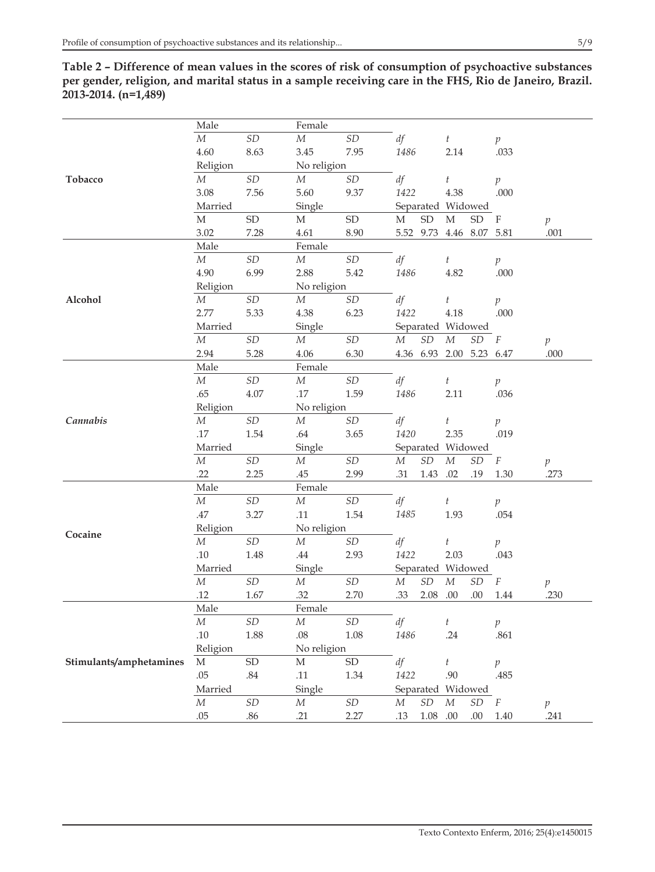**Table 2 – Difference of mean values in the scores of risk of consumption of psychoactive substances per gender, religion, and marital status in a sample receiving care in the FHS, Rio de Janeiro, Brazil. 2013-2014. (n=1,489)**

|                         | Male        |                            | Female           |                            |                   |                            |                     |                            |                  |               |
|-------------------------|-------------|----------------------------|------------------|----------------------------|-------------------|----------------------------|---------------------|----------------------------|------------------|---------------|
|                         | $\cal M$    | $\ensuremath{\mathit{SD}}$ | $\cal M$         | $\ensuremath{\mathit{SD}}$ | df                |                            | $\boldsymbol{t}$    |                            | p                |               |
|                         | 4.60        | 8.63                       | 3.45             | 7.95                       | 1486              |                            | 2.14                |                            | .033             |               |
|                         | Religion    |                            | No religion      |                            |                   |                            |                     |                            |                  |               |
| Tobacco                 | $M_{\rm }$  | $\ensuremath{\mathit{SD}}$ | М                | $\ensuremath{\mathit{SD}}$ | df                |                            | t                   |                            | $\,p\,$          |               |
|                         | 3.08        | 7.56                       | 5.60             | 9.37                       | 1422              |                            | 4.38                |                            | .000             |               |
|                         | Married     |                            | Single           |                            |                   |                            | Separated Widowed   |                            |                  |               |
|                         | $\mathbf M$ | ${\rm SD}$                 | M                | ${\rm SD}$                 | М                 | ${\rm SD}$                 | $\mathbf M$         | ${\rm SD}$                 | $\rm F$          | $\,p\,$       |
|                         | 3.02        | 7.28                       | 4.61             | 8.90                       |                   |                            | 5.52 9.73 4.46 8.07 |                            | 5.81             | .001          |
|                         | Male        |                            | Female           |                            |                   |                            |                     |                            |                  |               |
|                         | $\cal M$    | $\ensuremath{\mathit{SD}}$ | $\cal M$         | $\ensuremath{\mathit{SD}}$ | df                |                            | t                   |                            | $\,p\,$          |               |
|                         | 4.90        | 6.99                       | 2.88             | 5.42                       | 1486              |                            | 4.82                |                            | .000             |               |
|                         | Religion    |                            | No religion      |                            |                   |                            |                     |                            |                  |               |
| Alcohol                 | $\cal M$    | $\ensuremath{\mathit{SD}}$ | $\cal M$         | SD                         | df                |                            | $\boldsymbol{t}$    |                            | $\boldsymbol{p}$ |               |
|                         | 2.77        | 5.33                       | 4.38             | 6.23                       | 1422              |                            | 4.18                |                            | .000             |               |
|                         | Married     |                            | Single           |                            | Separated Widowed |                            |                     |                            |                  |               |
|                         | ${\cal M}$  | SD                         | $\cal M$         | $\ensuremath{\mathit{SD}}$ | $\boldsymbol{M}$  | $\ensuremath{\mathit{SD}}$ | ${\cal M}$          | $\ensuremath{\mathit{SD}}$ | $\cal F$         | $\,p\,$       |
|                         | 2.94        | 5.28                       | 4.06             | 6.30                       |                   |                            | 4.36 6.93 2.00 5.23 |                            | 6.47             | .000          |
|                         | Male        |                            | Female           |                            |                   |                            |                     |                            |                  |               |
|                         | ${\cal M}$  | $\ensuremath{\mathit{SD}}$ | $\cal M$         | $\ensuremath{\mathit{SD}}$ | df                |                            | $\boldsymbol{t}$    |                            | $\mathfrak{p}$   |               |
| Cannabis                | .65         | 4.07                       | $.17\,$          | 1.59                       | 1486              |                            | 2.11                |                            | .036             |               |
|                         | Religion    |                            | No religion      |                            |                   |                            |                     |                            |                  |               |
|                         | $\cal M$    | $\ensuremath{\mathit{SD}}$ | $\cal M$         | $\ensuremath{\mathit{SD}}$ | df                |                            | $\boldsymbol{t}$    |                            | $\boldsymbol{p}$ |               |
|                         | .17         | 1.54                       | .64              | 3.65                       | 1420              |                            | 2.35                |                            | .019             |               |
|                         | Married     |                            | Single           |                            |                   |                            | Separated Widowed   |                            |                  |               |
|                         | $\cal M$    | $\ensuremath{\mathit{SD}}$ | ${\cal M}$       | $\ensuremath{\mathit{SD}}$ | ${\cal M}$        | $\ensuremath{\mathit{SD}}$ | ${\cal M}$          | $\ensuremath{\mathit{SD}}$ | $\boldsymbol{F}$ | $\,p\,$       |
|                         | .22         | 2.25                       | .45              | 2.99                       | .31               | 1.43                       | .02                 | .19                        | 1.30             | .273          |
|                         | Male        |                            | Female           |                            |                   |                            |                     |                            |                  |               |
|                         | $\cal M$    | $\ensuremath{\mathit{SD}}$ | ${\cal M}$       | $\ensuremath{\mathit{SD}}$ | df                |                            | $\boldsymbol{t}$    |                            | $\,p\,$          |               |
|                         | .47         | 3.27                       | .11              | 1.54                       | 1485              |                            | 1.93                |                            | .054             |               |
|                         | Religion    |                            | No religion      |                            |                   |                            |                     |                            |                  |               |
| Cocaine                 | ${\cal M}$  | $\ensuremath{\mathit{SD}}$ | $\boldsymbol{M}$ | $\ensuremath{\mathit{SD}}$ | df                |                            | t                   |                            | $\,p\,$          |               |
|                         | .10         | 1.48                       | .44              | 2.93                       | 1422              |                            | 2.03                |                            | .043             |               |
|                         | Married     |                            | Single           |                            |                   |                            | Separated Widowed   |                            |                  |               |
|                         | ${\cal M}$  | $\ensuremath{\mathit{SD}}$ | ${\cal M}$       | $\ensuremath{\mathit{SD}}$ | ${\cal M}$        | $\ensuremath{\mathit{SD}}$ | ${\cal M}$          | $\ensuremath{\mathit{SD}}$ | F                | $\mathcal{P}$ |
|                         | .12         | 1.67                       | .32              | 2.70                       | .33               | 2.08                       | .00                 | .00                        | 1.44             | .230          |
|                         | Male        |                            | Female           |                            |                   |                            |                     |                            |                  |               |
|                         | М           | $\ensuremath{\mathit{SD}}$ | М                | $\ensuremath{\mathit{SD}}$ | df                |                            | $\boldsymbol{t}$    |                            | $\mathfrak{p}$   |               |
|                         | $.10\,$     | 1.88                       | .08              | $1.08\,$                   | 1486              |                            | .24                 |                            | .861             |               |
|                         | Religion    |                            | No religion      |                            |                   |                            |                     |                            |                  |               |
| Stimulants/amphetamines | $\mathbf M$ | ${\rm SD}$                 | $\mathbf M$      | ${\rm SD}$                 | df                |                            | $\boldsymbol{t}$    |                            | $\,p\,$          |               |
|                         | .05         | $.84\,$                    | .11              | 1.34                       | 1422              |                            | .90                 |                            | .485             |               |
|                         | Married     |                            | Single           |                            | Separated Widowed |                            |                     |                            |                  |               |
|                         | М           | $\ensuremath{\mathit{SD}}$ | $\boldsymbol{M}$ | $\ensuremath{\mathit{SD}}$ | M                 | $\ensuremath{\mathit{SD}}$ | $\cal M$            | $\ensuremath{\mathit{SD}}$ | $\boldsymbol{F}$ | $\,p\,$       |
|                         | $.05\,$     | .86                        | .21              | 2.27                       | .13               | $1.08\phantom{0}0.00$      |                     | $.00\,$                    | $1.40\,$         | .241          |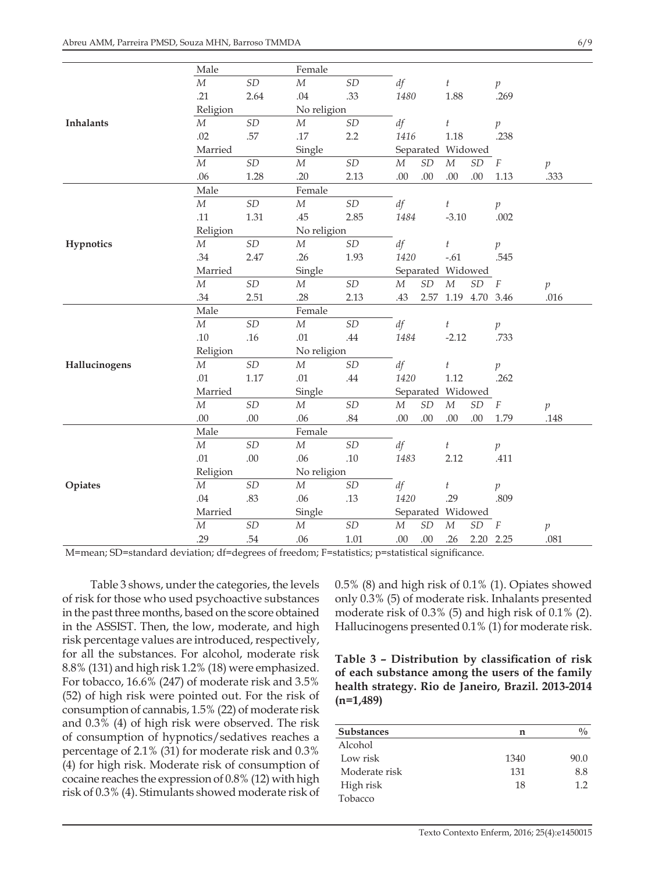|                  | Male       |                            | Female      |                            |                   |                            |                  |                            |                  |                  |
|------------------|------------|----------------------------|-------------|----------------------------|-------------------|----------------------------|------------------|----------------------------|------------------|------------------|
|                  | $\cal M$   | SD                         | $\cal M$    | $\ensuremath{\mathit{SD}}$ | df                |                            | $\boldsymbol{t}$ |                            | $\mathfrak{p}$   |                  |
|                  | .21        | 2.64                       | .04         | .33                        | 1480              |                            | 1.88             |                            | .269             |                  |
|                  | Religion   |                            | No religion |                            |                   |                            |                  |                            |                  |                  |
| <b>Inhalants</b> | $M_{\rm }$ | SD                         | $\cal M$    | $\ensuremath{\mathit{SD}}$ | df                |                            | $\boldsymbol{t}$ |                            | $\overline{p}$   |                  |
|                  | .02        | .57                        | $.17\,$     | 2.2                        | 1416              |                            | 1.18             |                            | .238             |                  |
|                  | Married    |                            | Single      |                            | Separated Widowed |                            |                  |                            |                  |                  |
|                  | $\cal M$   | SD                         | $\cal M$    | $\ensuremath{\mathit{SD}}$ | $\boldsymbol{M}$  | $\ensuremath{\mathit{SD}}$ | $\cal M$         | $\ensuremath{\mathit{SD}}$ | $\boldsymbol{F}$ | $\,p\,$          |
|                  | .06        | 1.28                       | .20         | 2.13                       | .00               | .00                        | .00              | .00                        | 1.13             | .333             |
|                  | Male       |                            | Female      |                            |                   |                            |                  |                            |                  |                  |
|                  | $\cal M$   | SD                         | $\cal M$    | $\ensuremath{\mathit{SD}}$ | df                |                            | $\boldsymbol{t}$ |                            | p                |                  |
|                  | .11        | 1.31                       | .45         | 2.85                       | 1484              |                            | $-3.10$          |                            | .002             |                  |
|                  | Religion   |                            | No religion |                            |                   |                            |                  |                            |                  |                  |
| Hypnotics        | $\cal M$   | SD                         | $\cal M$    | $\ensuremath{\mathit{SD}}$ | df                |                            | $\boldsymbol{t}$ |                            | $\mathfrak{p}$   |                  |
|                  | .34        | 2.47                       | .26         | 1.93                       | 1420              |                            | $-.61$           |                            | .545             |                  |
|                  |            | Married                    |             | Single                     |                   | Separated Widowed          |                  |                            |                  |                  |
|                  | $\cal M$   | $\ensuremath{\mathit{SD}}$ | $\cal M$    | $\ensuremath{\mathit{SD}}$ | $\cal M$          | $\ensuremath{\mathit{SD}}$ | ${\cal M}$       | $\ensuremath{\mathit{SD}}$ | $\boldsymbol{F}$ | $\boldsymbol{p}$ |
|                  | .34        | 2.51                       | .28         | 2.13                       | .43               | 2.57                       |                  | 1.19 4.70 3.46             |                  | .016             |
|                  | Male       |                            |             | Female                     |                   |                            |                  |                            |                  |                  |
|                  | $\cal M$   | $\ensuremath{\mathit{SD}}$ | $\cal M$    | SD                         | df                |                            | $\boldsymbol{t}$ |                            | $\mathfrak{p}$   |                  |
|                  | .10        | .16                        | .01         | $.44\,$                    | 1484              |                            | $-2.12$          |                            | .733             |                  |
|                  | Religion   |                            | No religion |                            |                   |                            |                  |                            |                  |                  |
| Hallucinogens    | $\cal M$   | SD                         | $\cal M$    | SD                         | df                |                            | $\boldsymbol{t}$ |                            | $\mathfrak{p}$   |                  |
|                  | .01        | 1.17                       | .01         | .44                        | 1420              |                            | $1.12\,$         |                            | .262             |                  |
|                  | Married    |                            | Single      |                            | Separated Widowed |                            |                  |                            |                  |                  |
|                  | $\cal M$   | $\ensuremath{\mathit{SD}}$ | $\cal M$    | $\ensuremath{\mathit{SD}}$ | $\cal M$          | $\ensuremath{\mathit{SD}}$ | ${\cal M}$       | $\ensuremath{\mathit{SD}}$ | $\cal F$         | $\,p\,$          |
|                  | $.00\,$    | .00                        | .06         | $.84\,$                    | .00               | .00                        | .00              | .00                        | 1.79             | .148             |
|                  | Male       |                            | Female      |                            |                   |                            |                  |                            |                  |                  |
|                  | $\cal M$   | SD                         | $\cal M$    | SD                         | df                |                            | $\boldsymbol{t}$ |                            | $\boldsymbol{p}$ |                  |
|                  | .01        | $.00\,$                    | .06         | $.10\,$                    | 1483              |                            | 2.12             |                            | .411             |                  |
|                  | Religion   |                            | No religion |                            |                   |                            |                  |                            |                  |                  |
| Opiates          | $\cal M$   | $\ensuremath{\mathit{SD}}$ | $\cal M$    | $\ensuremath{\mathit{SD}}$ | df                |                            | $\boldsymbol{t}$ |                            | $\boldsymbol{p}$ |                  |
|                  | .04        | .83                        | .06         | .13                        | 1420              |                            | .29              |                            | .809             |                  |
|                  | Married    |                            | Single      |                            | Separated Widowed |                            |                  |                            |                  |                  |
|                  | $\cal M$   | SD                         | $\cal M$    | $\ensuremath{\mathit{SD}}$ | $\cal M$          | $\ensuremath{\mathit{SD}}$ | $\cal M$         | $\ensuremath{\mathit{SD}}$ | $\cal F$         | $\mathcal{P}$    |
|                  | .29        | .54                        | .06         | $1.01\,$                   | .00               | .00                        | .26              | 2.20 2.25                  |                  | .081             |

M=mean; SD=standard deviation; df=degrees of freedom; F=statistics; p=statistical significance.

Table 3 shows, under the categories, the levels of risk for those who used psychoactive substances in the past three months, based on the score obtained in the ASSIST. Then, the low, moderate, and high risk percentage values are introduced, respectively, for all the substances. For alcohol, moderate risk 8.8% (131) and high risk 1.2% (18) were emphasized. For tobacco, 16.6% (247) of moderate risk and 3.5% (52) of high risk were pointed out. For the risk of consumption of cannabis, 1.5% (22) of moderate risk and 0.3% (4) of high risk were observed. The risk of consumption of hypnotics/sedatives reaches a percentage of 2.1% (31) for moderate risk and 0.3% (4) for high risk. Moderate risk of consumption of cocaine reaches the expression of 0.8% (12) with high risk of 0.3% (4). Stimulants showed moderate risk of 0.5% (8) and high risk of 0.1% (1). Opiates showed only 0.3% (5) of moderate risk. Inhalants presented moderate risk of 0.3% (5) and high risk of 0.1% (2). Hallucinogens presented 0.1% (1) for moderate risk.

**Table 3 – Distribution by classification of risk of each substance among the users of the family health strategy. Rio de Janeiro, Brazil. 2013-2014 (n=1,489)**

| <b>Substances</b> | n    | $\frac{0}{0}$ |
|-------------------|------|---------------|
| Alcohol           |      |               |
| Low risk          | 1340 | 90.0          |
| Moderate risk     | 131  | 8.8           |
| High risk         | 18   | 12            |
| Tobacco           |      |               |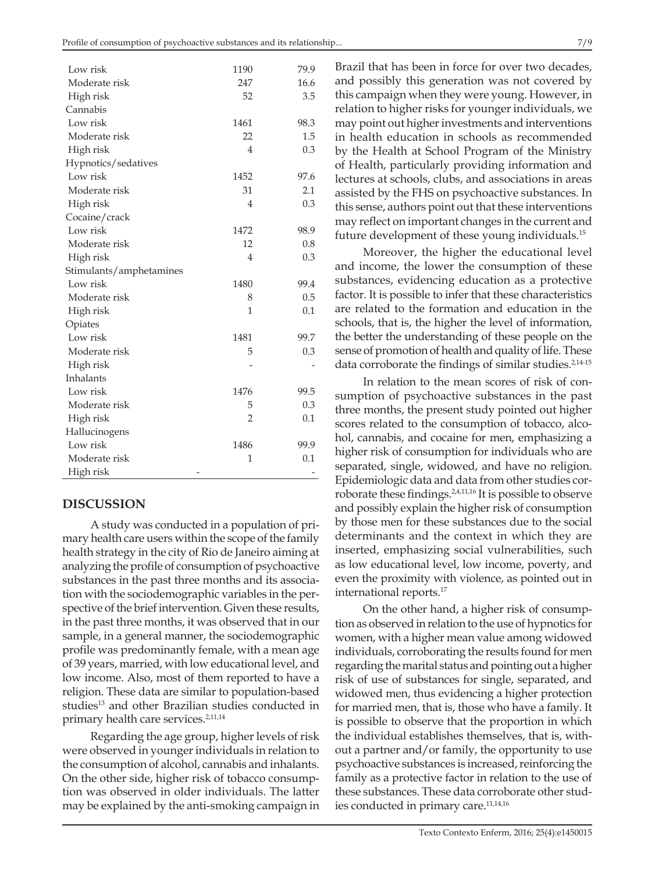| Low risk                | 1190           | 79.9 |
|-------------------------|----------------|------|
| Moderate risk           | 247            | 16.6 |
| High risk               | 52             | 3.5  |
| Cannabis                |                |      |
| Low risk                | 1461           | 98.3 |
| Moderate risk           | 22             | 1.5  |
| High risk               | $\overline{4}$ | 0.3  |
| Hypnotics/sedatives     |                |      |
| Low risk                | 1452           | 97.6 |
| Moderate risk           | 31             | 2.1  |
| High risk               | 4              | 0.3  |
| Cocaine/crack           |                |      |
| Low risk                | 1472           | 98.9 |
| Moderate risk           | 12             | 0.8  |
| High risk               | $\overline{4}$ | 0.3  |
| Stimulants/amphetamines |                |      |
| Low risk                | 1480           | 99.4 |
| Moderate risk           | 8              | 0.5  |
| High risk               | 1              | 0.1  |
| Opiates                 |                |      |
| Low risk                | 1481           | 99.7 |
| Moderate risk           | 5              | 0.3  |
| High risk               |                |      |
| Inhalants               |                |      |
| Low risk                | 1476           | 99.5 |
| Moderate risk           | 5              | 0.3  |
| High risk               | $\overline{2}$ | 0.1  |
| Hallucinogens           |                |      |
| Low risk                | 1486           | 99.9 |
| Moderate risk           | 1              | 0.1  |
| High risk               |                |      |

### **DISCUSSION**

A study was conducted in a population of primary health care users within the scope of the family health strategy in the city of Rio de Janeiro aiming at analyzing the profile of consumption of psychoactive substances in the past three months and its association with the sociodemographic variables in the perspective of the brief intervention. Given these results, in the past three months, it was observed that in our sample, in a general manner, the sociodemographic profile was predominantly female, with a mean age of 39 years, married, with low educational level, and low income. Also, most of them reported to have a religion. These data are similar to population-based studies<sup>13</sup> and other Brazilian studies conducted in primary health care services.<sup>2,11,14</sup>

Regarding the age group, higher levels of risk were observed in younger individuals in relation to the consumption of alcohol, cannabis and inhalants. On the other side, higher risk of tobacco consumption was observed in older individuals. The latter may be explained by the anti-smoking campaign in

Brazil that has been in force for over two decades, and possibly this generation was not covered by this campaign when they were young. However, in relation to higher risks for younger individuals, we may point out higher investments and interventions in health education in schools as recommended by the Health at School Program of the Ministry of Health, particularly providing information and lectures at schools, clubs, and associations in areas assisted by the FHS on psychoactive substances. In this sense, authors point out that these interventions may reflect on important changes in the current and future development of these young individuals.15

Moreover, the higher the educational level and income, the lower the consumption of these substances, evidencing education as a protective factor. It is possible to infer that these characteristics are related to the formation and education in the schools, that is, the higher the level of information, the better the understanding of these people on the sense of promotion of health and quality of life. These data corroborate the findings of similar studies.<sup>2,14-15</sup>

In relation to the mean scores of risk of consumption of psychoactive substances in the past three months, the present study pointed out higher scores related to the consumption of tobacco, alcohol, cannabis, and cocaine for men, emphasizing a higher risk of consumption for individuals who are separated, single, widowed, and have no religion. Epidemiologic data and data from other studies corroborate these findings.2,4,11,16 It is possible to observe and possibly explain the higher risk of consumption by those men for these substances due to the social determinants and the context in which they are inserted, emphasizing social vulnerabilities, such as low educational level, low income, poverty, and even the proximity with violence, as pointed out in international reports.17

On the other hand, a higher risk of consumption as observed in relation to the use of hypnotics for women, with a higher mean value among widowed individuals, corroborating the results found for men regarding the marital status and pointing out a higher risk of use of substances for single, separated, and widowed men, thus evidencing a higher protection for married men, that is, those who have a family. It is possible to observe that the proportion in which the individual establishes themselves, that is, without a partner and/or family, the opportunity to use psychoactive substances is increased, reinforcing the family as a protective factor in relation to the use of these substances. These data corroborate other studies conducted in primary care.11,14,16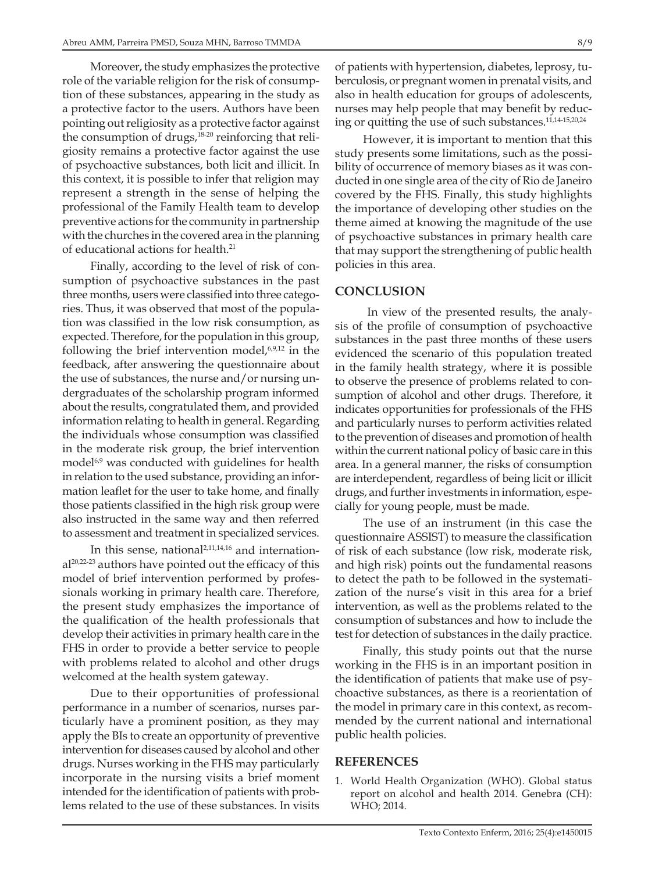Moreover, the study emphasizes the protective role of the variable religion for the risk of consumption of these substances, appearing in the study as a protective factor to the users. Authors have been pointing out religiosity as a protective factor against the consumption of drugs,<sup>18-20</sup> reinforcing that religiosity remains a protective factor against the use of psychoactive substances, both licit and illicit. In this context, it is possible to infer that religion may represent a strength in the sense of helping the professional of the Family Health team to develop preventive actions for the community in partnership with the churches in the covered area in the planning of educational actions for health.21

Finally, according to the level of risk of consumption of psychoactive substances in the past three months, users were classified into three categories. Thus, it was observed that most of the population was classified in the low risk consumption, as expected. Therefore, for the population in this group, following the brief intervention model,<sup>6,9,12</sup> in the feedback, after answering the questionnaire about the use of substances, the nurse and/or nursing undergraduates of the scholarship program informed about the results, congratulated them, and provided information relating to health in general. Regarding the individuals whose consumption was classified in the moderate risk group, the brief intervention model<sup>6,9</sup> was conducted with guidelines for health in relation to the used substance, providing an information leaflet for the user to take home, and finally those patients classified in the high risk group were also instructed in the same way and then referred to assessment and treatment in specialized services.

In this sense, national<sup>2,11,14,16</sup> and international20,22-23 authors have pointed out the efficacy of this model of brief intervention performed by professionals working in primary health care. Therefore, the present study emphasizes the importance of the qualification of the health professionals that develop their activities in primary health care in the FHS in order to provide a better service to people with problems related to alcohol and other drugs welcomed at the health system gateway.

Due to their opportunities of professional performance in a number of scenarios, nurses particularly have a prominent position, as they may apply the BIs to create an opportunity of preventive intervention for diseases caused by alcohol and other drugs. Nurses working in the FHS may particularly incorporate in the nursing visits a brief moment intended for the identification of patients with problems related to the use of these substances. In visits

of patients with hypertension, diabetes, leprosy, tuberculosis, or pregnant women in prenatal visits, and also in health education for groups of adolescents, nurses may help people that may benefit by reducing or quitting the use of such substances.11,14-15,20,24

However, it is important to mention that this study presents some limitations, such as the possibility of occurrence of memory biases as it was conducted in one single area of the city of Rio de Janeiro covered by the FHS. Finally, this study highlights the importance of developing other studies on the theme aimed at knowing the magnitude of the use of psychoactive substances in primary health care that may support the strengthening of public health policies in this area.

### **CONCLUSION**

 In view of the presented results, the analysis of the profile of consumption of psychoactive substances in the past three months of these users evidenced the scenario of this population treated in the family health strategy, where it is possible to observe the presence of problems related to consumption of alcohol and other drugs. Therefore, it indicates opportunities for professionals of the FHS and particularly nurses to perform activities related to the prevention of diseases and promotion of health within the current national policy of basic care in this area. In a general manner, the risks of consumption are interdependent, regardless of being licit or illicit drugs, and further investments in information, especially for young people, must be made.

The use of an instrument (in this case the questionnaire ASSIST) to measure the classification of risk of each substance (low risk, moderate risk, and high risk) points out the fundamental reasons to detect the path to be followed in the systematization of the nurse's visit in this area for a brief intervention, as well as the problems related to the consumption of substances and how to include the test for detection of substances in the daily practice.

Finally, this study points out that the nurse working in the FHS is in an important position in the identification of patients that make use of psychoactive substances, as there is a reorientation of the model in primary care in this context, as recommended by the current national and international public health policies.

## **REFERENCES**

1. World Health Organization (WHO). Global status report on alcohol and health 2014. Genebra (CH): WHO; 2014.